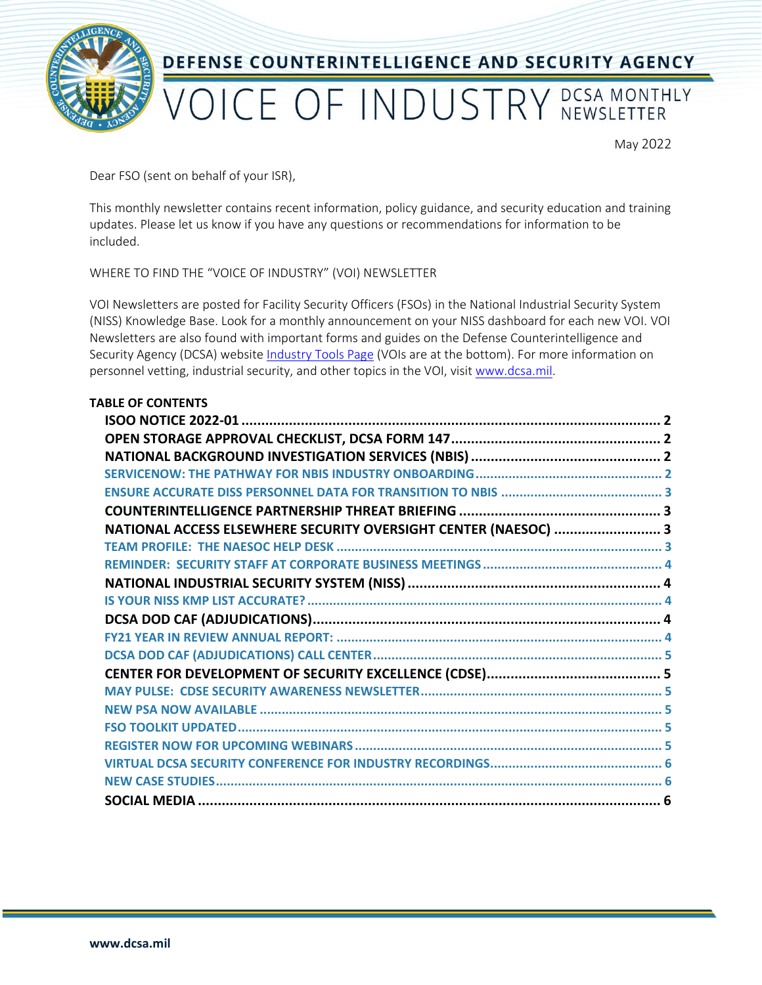

May 2022

Dear FSO (sent on behalf of your ISR),

This monthly newsletter contains recent information, policy guidance, and security education and training updates. Please let us know if you have any questions or recommendations for information to be included.

WHERE TO FIND THE "VOICE OF INDUSTRY" (VOI) NEWSLETTER

VOI Newsletters are posted for Facility Security Officers (FSOs) in the National Industrial Security System (NISS) Knowledge Base. Look for a monthly announcement on your NISS dashboard for each new VOI. VOI Newsletters are also found with important forms and guides on the Defense Counterintelligence and Security Agency (DCSA) website [Industry Tools Page](https://www.dcsa.mil/mc/isd/tools/) (VOIs are at the bottom). For more information on personnel vetting, industrial security, and other topics in the VOI, visit [www.dcsa.mil.](https://www.dcsa.mil/)

| <b>TABLE OF CONTENTS</b><br>NATIONAL ACCESS ELSEWHERE SECURITY OVERSIGHT CENTER (NAESOC)  3 |
|---------------------------------------------------------------------------------------------|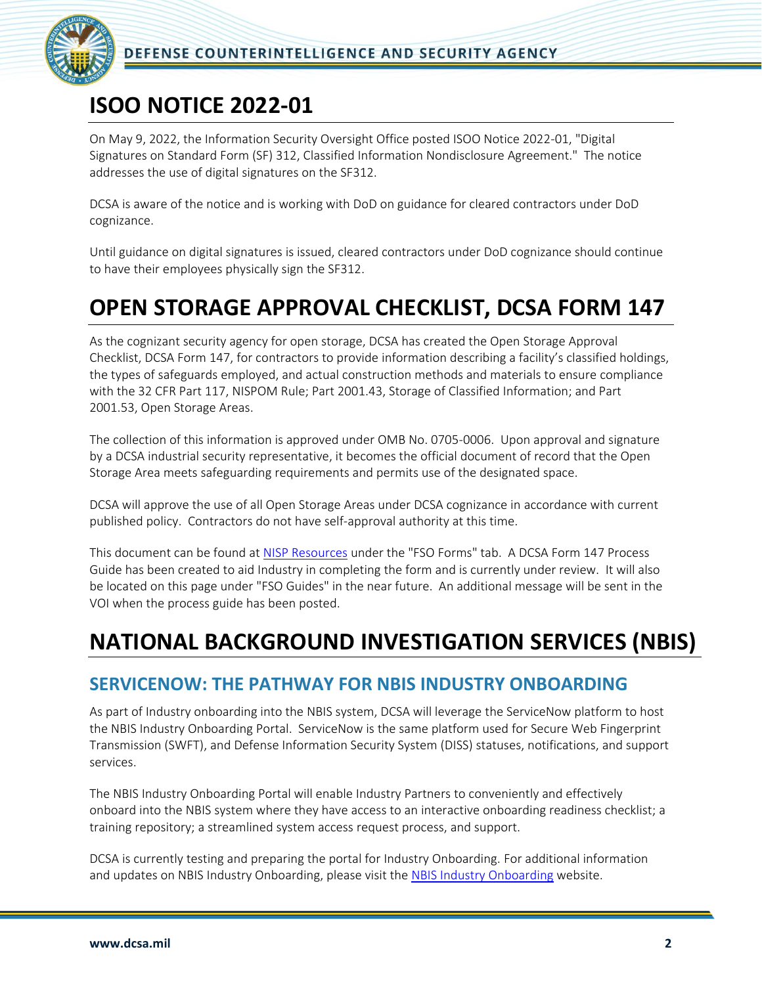

### <span id="page-1-0"></span>**ISOO NOTICE 2022-01**

On May 9, 2022, the Information Security Oversight Office posted ISOO Notice 2022-01, "Digital Signatures on Standard Form (SF) 312, Classified Information Nondisclosure Agreement." The notice addresses the use of digital signatures on the SF312.

DCSA is aware of the notice and is working with DoD on guidance for cleared contractors under DoD cognizance.

Until guidance on digital signatures is issued, cleared contractors under DoD cognizance should continue to have their employees physically sign the SF312.

## <span id="page-1-1"></span>**OPEN STORAGE APPROVAL CHECKLIST, DCSA FORM 147**

As the cognizant security agency for open storage, DCSA has created the Open Storage Approval Checklist, DCSA Form 147, for contractors to provide information describing a facility's classified holdings, the types of safeguards employed, and actual construction methods and materials to ensure compliance with the 32 CFR Part 117, NISPOM Rule; Part 2001.43, Storage of Classified Information; and Part 2001.53, Open Storage Areas.

The collection of this information is approved under OMB No. 0705-0006. Upon approval and signature by a DCSA industrial security representative, it becomes the official document of record that the Open Storage Area meets safeguarding requirements and permits use of the designated space.

DCSA will approve the use of all Open Storage Areas under DCSA cognizance in accordance with current published policy. Contractors do not have self-approval authority at this time.

This document can be found a[t NISP Resources](https://www.dcsa.mil/mc/isd/tools/) under the "FSO Forms" tab. A DCSA Form 147 Process Guide has been created to aid Industry in completing the form and is currently under review. It will also be located on this page under "FSO Guides" in the near future. An additional message will be sent in the VOI when the process guide has been posted.

### <span id="page-1-2"></span>**NATIONAL BACKGROUND INVESTIGATION SERVICES (NBIS)**

#### <span id="page-1-3"></span>**SERVICENOW: THE PATHWAY FOR NBIS INDUSTRY ONBOARDING**

As part of Industry onboarding into the NBIS system, DCSA will leverage the ServiceNow platform to host the NBIS Industry Onboarding Portal. ServiceNow is the same platform used for Secure Web Fingerprint Transmission (SWFT), and Defense Information Security System (DISS) statuses, notifications, and support services.

The NBIS Industry Onboarding Portal will enable Industry Partners to conveniently and effectively onboard into the NBIS system where they have access to an interactive onboarding readiness checklist; a training repository; a streamlined system access request process, and support.

DCSA is currently testing and preparing the portal for Industry Onboarding. For additional information and updates on NBIS Industry Onboarding, please visit the [NBIS Industry Onboarding](https://www.dcsa.mil/is/nbis/onboarding/ind_onboarding/) website.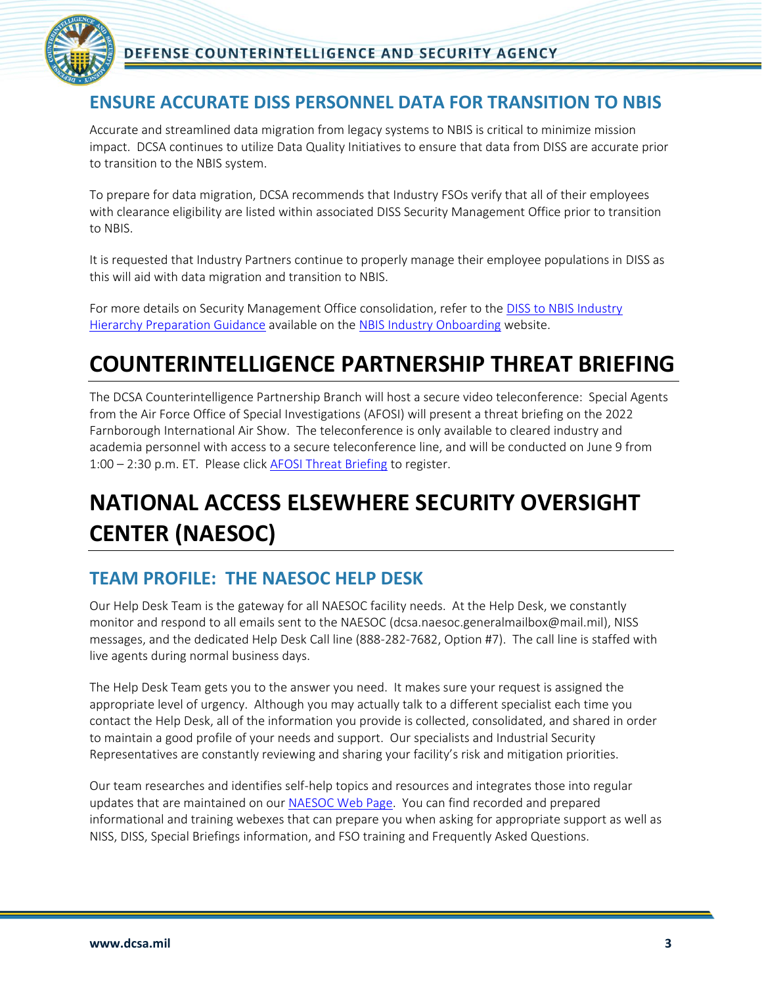

#### <span id="page-2-0"></span>**ENSURE ACCURATE DISS PERSONNEL DATA FOR TRANSITION TO NBIS**

Accurate and streamlined data migration from legacy systems to NBIS is critical to minimize mission impact. DCSA continues to utilize Data Quality Initiatives to ensure that data from DISS are accurate prior to transition to the NBIS system.

To prepare for data migration, DCSA recommends that Industry FSOs verify that all of their employees with clearance eligibility are listed within associated DISS Security Management Office prior to transition to NBIS.

It is requested that Industry Partners continue to properly manage their employee populations in DISS as this will aid with data migration and transition to NBIS.

For more details on Security Management Office consolidation, refer to the [DISS to NBIS Industry](https://www.dcsa.mil/Portals/91/Documents/IS/NBIS/DISS-to-NBIS-Industry-Hierarchy-Preparation-Guidance_031622.pdf)  [Hierarchy Preparation Guidance](https://www.dcsa.mil/Portals/91/Documents/IS/NBIS/DISS-to-NBIS-Industry-Hierarchy-Preparation-Guidance_031622.pdf) available on th[e NBIS Industry Onboarding](https://www.dcsa.mil/is/nbis/onboarding/ind_onboarding/) website.

## <span id="page-2-1"></span>**COUNTERINTELLIGENCE PARTNERSHIP THREAT BRIEFING**

The DCSA Counterintelligence Partnership Branch will host a secure video teleconference: Special Agents from the Air Force Office of Special Investigations (AFOSI) will present a threat briefing on the 2022 Farnborough International Air Show. The teleconference is only available to cleared industry and academia personnel with access to a secure teleconference line, and will be conducted on June 9 from 1:00 – 2:30 p.m. ET. Please click [AFOSI Threat Briefing](https://einvitations.afit.edu/inv/anim.cfm?i=668368&k=04674A0A7D5F) to register.

# <span id="page-2-2"></span>**NATIONAL ACCESS ELSEWHERE SECURITY OVERSIGHT CENTER (NAESOC)**

#### <span id="page-2-3"></span>**TEAM PROFILE: THE NAESOC HELP DESK**

Our Help Desk Team is the gateway for all NAESOC facility needs. At the Help Desk, we constantly monitor and respond to all emails sent to the NAESOC (dcsa.naesoc.generalmailbox@mail.mil), NISS messages, and the dedicated Help Desk Call line (888-282-7682, Option #7). The call line is staffed with live agents during normal business days.

The Help Desk Team gets you to the answer you need. It makes sure your request is assigned the appropriate level of urgency. Although you may actually talk to a different specialist each time you contact the Help Desk, all of the information you provide is collected, consolidated, and shared in order to maintain a good profile of your needs and support. Our specialists and Industrial Security Representatives are constantly reviewing and sharing your facility's risk and mitigation priorities.

Our team researches and identifies self-help topics and resources and integrates those into regular updates that are maintained on our [NAESOC Web Page.](https://www.dcsa.mil/mc/isd/naesoc/) You can find recorded and prepared informational and training webexes that can prepare you when asking for appropriate support as well as NISS, DISS, Special Briefings information, and FSO training and Frequently Asked Questions.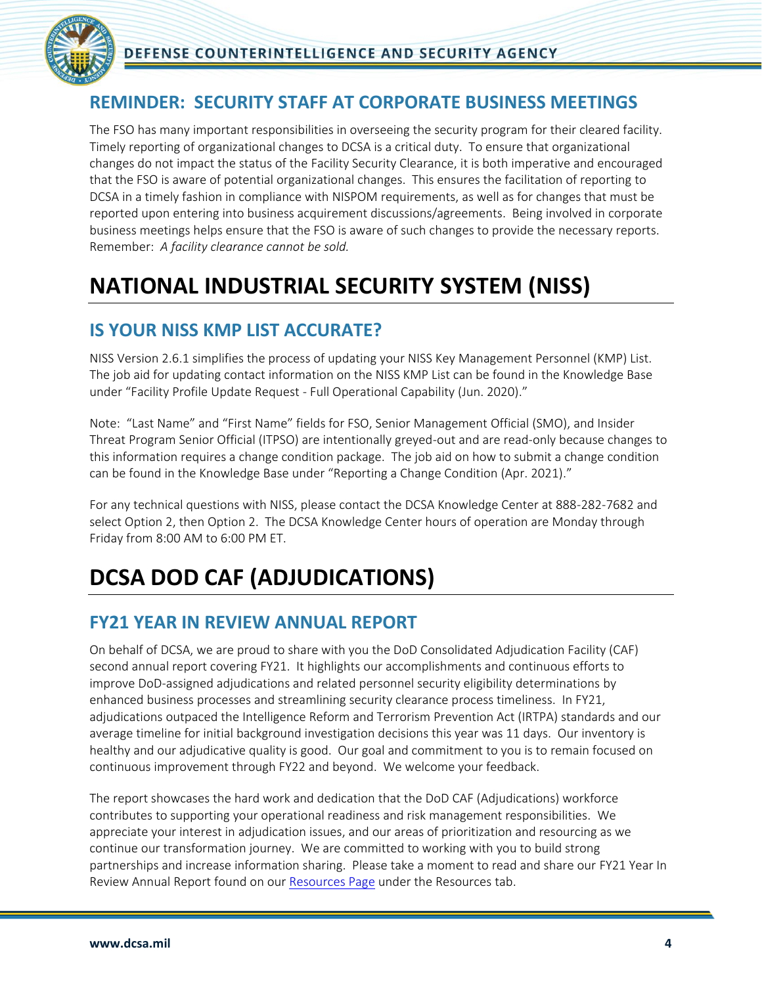

#### <span id="page-3-0"></span>**REMINDER: SECURITY STAFF AT CORPORATE BUSINESS MEETINGS**

The FSO has many important responsibilities in overseeing the security program for their cleared facility. Timely reporting of organizational changes to DCSA is a critical duty. To ensure that organizational changes do not impact the status of the Facility Security Clearance, it is both imperative and encouraged that the FSO is aware of potential organizational changes. This ensures the facilitation of reporting to DCSA in a timely fashion in compliance with NISPOM requirements, as well as for changes that must be reported upon entering into business acquirement discussions/agreements. Being involved in corporate business meetings helps ensure that the FSO is aware of such changes to provide the necessary reports. Remember: *A facility clearance cannot be sold.*

### <span id="page-3-1"></span>**NATIONAL INDUSTRIAL SECURITY SYSTEM (NISS)**

#### <span id="page-3-2"></span>**IS YOUR NISS KMP LIST ACCURATE?**

NISS Version 2.6.1 simplifies the process of updating your NISS Key Management Personnel (KMP) List. The job aid for updating contact information on the NISS KMP List can be found in the Knowledge Base under "Facility Profile Update Request - Full Operational Capability (Jun. 2020)."

Note: "Last Name" and "First Name" fields for FSO, Senior Management Official (SMO), and Insider Threat Program Senior Official (ITPSO) are intentionally greyed-out and are read-only because changes to this information requires a change condition package. The job aid on how to submit a change condition can be found in the Knowledge Base under "Reporting a Change Condition (Apr. 2021)."

For any technical questions with NISS, please contact the DCSA Knowledge Center at 888-282-7682 and select Option 2, then Option 2. The DCSA Knowledge Center hours of operation are Monday through Friday from 8:00 AM to 6:00 PM ET.

## <span id="page-3-3"></span>**DCSA DOD CAF (ADJUDICATIONS)**

#### <span id="page-3-4"></span>**FY21 YEAR IN REVIEW ANNUAL REPORT**

On behalf of DCSA, we are proud to share with you the DoD Consolidated Adjudication Facility (CAF) second annual report covering FY21. It highlights our accomplishments and continuous efforts to improve DoD-assigned adjudications and related personnel security eligibility determinations by enhanced business processes and streamlining security clearance process timeliness. In FY21, adjudications outpaced the Intelligence Reform and Terrorism Prevention Act (IRTPA) standards and our average timeline for initial background investigation decisions this year was 11 days. Our inventory is healthy and our adjudicative quality is good. Our goal and commitment to you is to remain focused on continuous improvement through FY22 and beyond. We welcome your feedback.

The report showcases the hard work and dedication that the DoD CAF (Adjudications) workforce contributes to supporting your operational readiness and risk management responsibilities. We appreciate your interest in adjudication issues, and our areas of prioritization and resourcing as we continue our transformation journey. We are committed to working with you to build strong partnerships and increase information sharing. Please take a moment to read and share our FY21 Year In Review Annual Report found on our [Resources Page](https://www.dcsa.mil/mc/pv/dod_caf/resources/) under the Resources tab.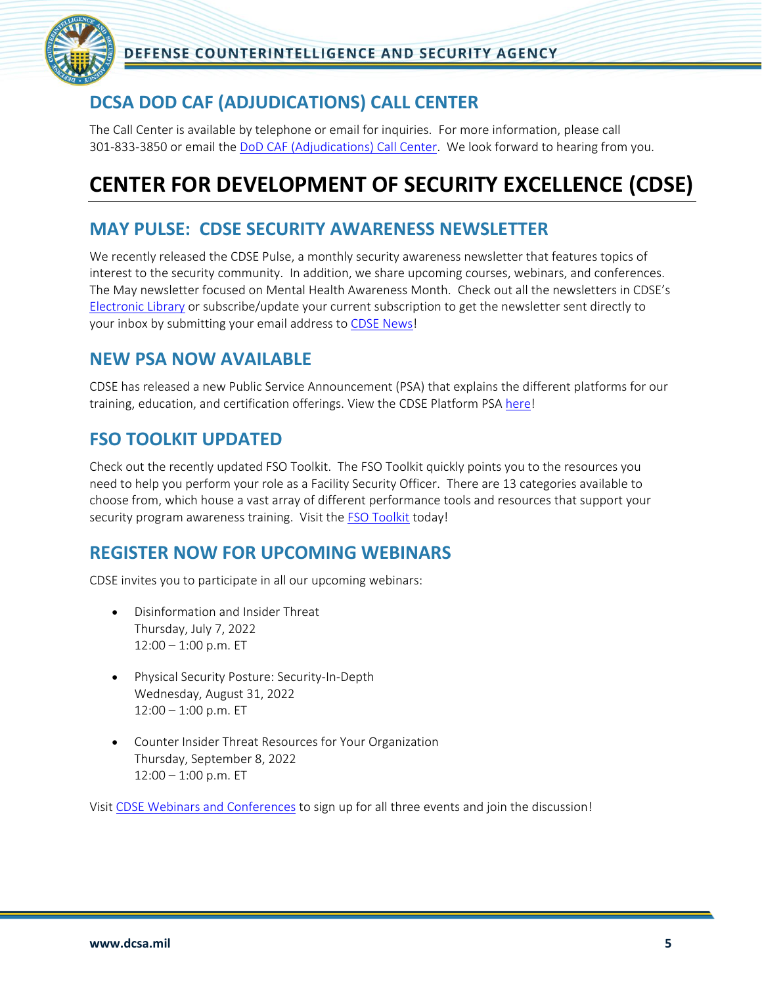

### <span id="page-4-0"></span>**DCSA DOD CAF (ADJUDICATIONS) CALL CENTER**

The Call Center is available by telephone or email for inquiries. For more information, please call 301-833-3850 or email the [DoD CAF \(Adjudications\) Call Center.](mailto:dcsa.meade.caf.mbx.call-center@mail.mil) We look forward to hearing from you.

## <span id="page-4-1"></span>**CENTER FOR DEVELOPMENT OF SECURITY EXCELLENCE (CDSE)**

#### <span id="page-4-2"></span>**MAY PULSE: CDSE SECURITY AWARENESS NEWSLETTER**

We recently released the CDSE Pulse, a monthly security awareness newsletter that features topics of interest to the security community. In addition, we share upcoming courses, webinars, and conferences. The May newsletter focused on Mental Health Awareness Month. Check out all the newsletters in CDSE's [Electronic L](https://www.cdse.edu/About-CDSE/CDSE-Electronic-Library/)ibrary or subscribe/update your current subscription to get the newsletter sent directly to your inbox by submitting your email address to [CDSE News!](https://www.cdse.edu/news/index.html)

#### <span id="page-4-3"></span>**NEW PSA NOW AVAILABLE**

CDSE has released a new Public Service Announcement (PSA) that explains the different platforms for our training, education, and certification offerings. View the CDSE Platform PSA [here!](https://www.dvidshub.net/video/841348/cdse-platform-psa)

#### <span id="page-4-4"></span>**FSO TOOLKIT UPDATED**

Check out the recently updated FSO Toolkit. The FSO Toolkit quickly points you to the resources you need to help you perform your role as a Facility Security Officer. There are 13 categories available to choose from, which house a vast array of different performance tools and resources that support your security program awareness training. Visit the **FSO Toolkit** today!

#### <span id="page-4-5"></span>**REGISTER NOW FOR UPCOMING WEBINARS**

CDSE invites you to participate in all our upcoming webinars:

- Disinformation and Insider Threat Thursday, July 7, 2022  $12:00 - 1:00$  p.m. ET
- Physical Security Posture: Security-In-Depth Wednesday, August 31, 2022  $12:00 - 1:00$  p.m. ET
- Counter Insider Threat Resources for Your Organization Thursday, September 8, 2022  $12:00 - 1:00$  p.m. ET

Visit [CDSE Webinars and Conferences](https://www.cdse.edu/catalog/webinars/index.html) to sign up for all three events and join the discussion!